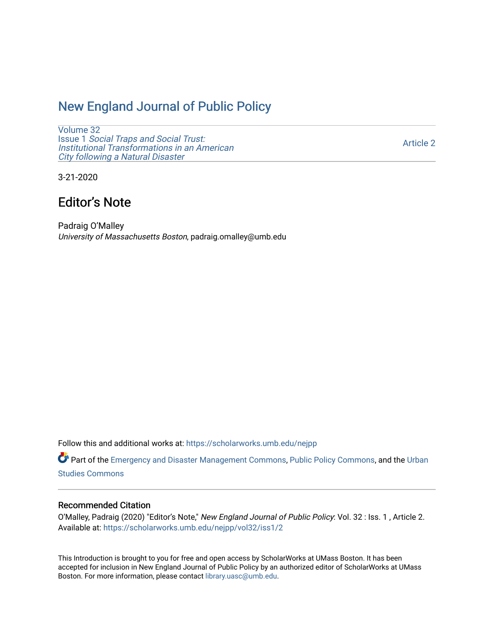### [New England Journal of Public Policy](https://scholarworks.umb.edu/nejpp)

[Volume 32](https://scholarworks.umb.edu/nejpp/vol32) Issue 1 [Social Traps and Social Trust:](https://scholarworks.umb.edu/nejpp/vol32/iss1) [Institutional Transformations in an American](https://scholarworks.umb.edu/nejpp/vol32/iss1)  [City following a Natural Disaster](https://scholarworks.umb.edu/nejpp/vol32/iss1)

[Article 2](https://scholarworks.umb.edu/nejpp/vol32/iss1/2) 

3-21-2020

# Editor's Note

Padraig O'Malley University of Massachusetts Boston, padraig.omalley@umb.edu

Follow this and additional works at: [https://scholarworks.umb.edu/nejpp](https://scholarworks.umb.edu/nejpp?utm_source=scholarworks.umb.edu%2Fnejpp%2Fvol32%2Fiss1%2F2&utm_medium=PDF&utm_campaign=PDFCoverPages)

Part of the [Emergency and Disaster Management Commons,](http://network.bepress.com/hgg/discipline/1321?utm_source=scholarworks.umb.edu%2Fnejpp%2Fvol32%2Fiss1%2F2&utm_medium=PDF&utm_campaign=PDFCoverPages) [Public Policy Commons,](http://network.bepress.com/hgg/discipline/400?utm_source=scholarworks.umb.edu%2Fnejpp%2Fvol32%2Fiss1%2F2&utm_medium=PDF&utm_campaign=PDFCoverPages) and the [Urban](http://network.bepress.com/hgg/discipline/402?utm_source=scholarworks.umb.edu%2Fnejpp%2Fvol32%2Fiss1%2F2&utm_medium=PDF&utm_campaign=PDFCoverPages) [Studies Commons](http://network.bepress.com/hgg/discipline/402?utm_source=scholarworks.umb.edu%2Fnejpp%2Fvol32%2Fiss1%2F2&utm_medium=PDF&utm_campaign=PDFCoverPages) 

#### Recommended Citation

O'Malley, Padraig (2020) "Editor's Note," New England Journal of Public Policy: Vol. 32 : Iss. 1 , Article 2. Available at: [https://scholarworks.umb.edu/nejpp/vol32/iss1/2](https://scholarworks.umb.edu/nejpp/vol32/iss1/2?utm_source=scholarworks.umb.edu%2Fnejpp%2Fvol32%2Fiss1%2F2&utm_medium=PDF&utm_campaign=PDFCoverPages) 

This Introduction is brought to you for free and open access by ScholarWorks at UMass Boston. It has been accepted for inclusion in New England Journal of Public Policy by an authorized editor of ScholarWorks at UMass Boston. For more information, please contact [library.uasc@umb.edu.](mailto:library.uasc@umb.edu)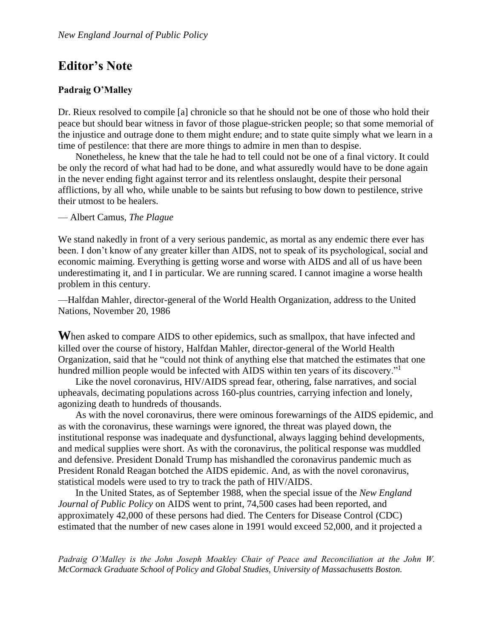## **Editor's Note**

#### **Padraig O'Malley**

Dr. Rieux resolved to compile [a] chronicle so that he should not be one of those who hold their peace but should bear witness in favor of those plague-stricken people; so that some memorial of the injustice and outrage done to them might endure; and to state quite simply what we learn in a time of pestilence: that there are more things to admire in men than to despise.

Nonetheless, he knew that the tale he had to tell could not be one of a final victory. It could be only the record of what had had to be done, and what assuredly would have to be done again in the never ending fight against terror and its relentless onslaught, despite their personal afflictions, by all who, while unable to be saints but refusing to bow down to pestilence, strive their utmost to be healers.

— Albert Camus, *The Plague*

We stand nakedly in front of a very serious pandemic, as mortal as any endemic there ever has been. I don't know of any greater killer than AIDS, not to speak of its psychological, social and economic maiming. Everything is getting worse and worse with AIDS and all of us have been underestimating it, and I in particular. We are running scared. I cannot imagine a worse health problem in this century.

—Halfdan Mahler, director-general of the World Health Organization, address to the United Nations, November 20, 1986

When asked to compare AIDS to other epidemics, such as smallpox, that have infected and killed over the course of history, Halfdan Mahler, director-general of the World Health Organization, said that he "could not think of anything else that matched the estimates that one hundred million people would be infected with AIDS within ten years of its discovery."<sup>1</sup>

Like the novel coronavirus, HIV/AIDS spread fear, othering, false narratives, and social upheavals, decimating populations across 160-plus countries, carrying infection and lonely, agonizing death to hundreds of thousands.

As with the novel coronavirus, there were ominous forewarnings of the AIDS epidemic, and as with the coronavirus, these warnings were ignored, the threat was played down, the institutional response was inadequate and dysfunctional, always lagging behind developments, and medical supplies were short. As with the coronavirus, the political response was muddled and defensive. President Donald Trump has mishandled the coronavirus pandemic much as President Ronald Reagan botched the AIDS epidemic. And, as with the novel coronavirus, statistical models were used to try to track the path of HIV/AIDS.

In the United States, as of September 1988, when the special issue of the *New England Journal of Public Policy* on AIDS went to print, 74,500 cases had been reported, and approximately 42,000 of these persons had died. The Centers for Disease Control (CDC) estimated that the number of new cases alone in 1991 would exceed 52,000, and it projected a

*Padraig O'Malley is the John Joseph Moakley Chair of Peace and Reconciliation at the John W. McCormack Graduate School of Policy and Global Studies, University of Massachusetts Boston.*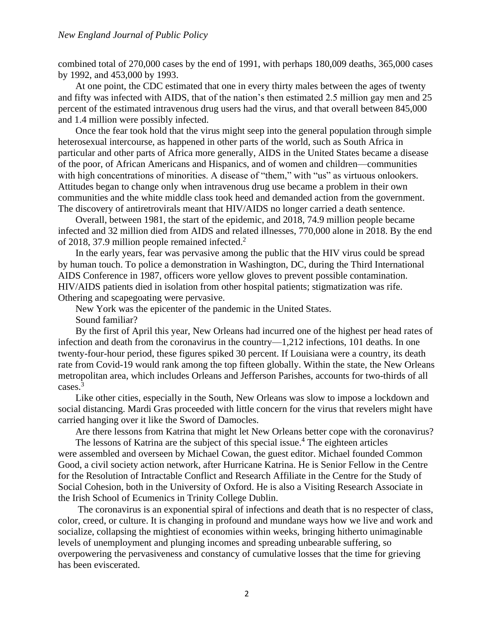combined total of 270,000 cases by the end of 1991, with perhaps 180,009 deaths, 365,000 cases by 1992, and 453,000 by 1993.

At one point, the CDC estimated that one in every thirty males between the ages of twenty and fifty was infected with AIDS, that of the nation's then estimated 2.5 million gay men and 25 percent of the estimated intravenous drug users had the virus, and that overall between 845,000 and 1.4 million were possibly infected.

Once the fear took hold that the virus might seep into the general population through simple heterosexual intercourse, as happened in other parts of the world, such as South Africa in particular and other parts of Africa more generally, AIDS in the United States became a disease of the poor, of African Americans and Hispanics, and of women and children—communities with high concentrations of minorities. A disease of "them," with "us" as virtuous onlookers. Attitudes began to change only when intravenous drug use became a problem in their own communities and the white middle class took heed and demanded action from the government. The discovery of antiretrovirals meant that HIV/AIDS no longer carried a death sentence.

Overall, between 1981, the start of the epidemic, and 2018, 74.9 million people became infected and 32 million died from AIDS and related illnesses, 770,000 alone in 2018. By the end of 2018, 37.9 million people remained infected.<sup>2</sup>

In the early years, fear was pervasive among the public that the HIV virus could be spread by human touch. To police a demonstration in Washington, DC, during the Third International AIDS Conference in 1987, officers wore yellow gloves to prevent possible contamination. HIV/AIDS patients died in isolation from other hospital patients; stigmatization was rife. Othering and scapegoating were pervasive.

New York was the epicenter of the pandemic in the United States.

Sound familiar?

By the first of April this year, New Orleans had incurred one of the highest per head rates of infection and death from the coronavirus in the country—1,212 infections, 101 deaths. In one twenty-four-hour period, these figures spiked 30 percent. If Louisiana were a country, its death rate from Covid-19 would rank among the top fifteen globally. Within the state, the New Orleans metropolitan area, which includes Orleans and Jefferson Parishes, accounts for two-thirds of all cases. 3

Like other cities, especially in the South, New Orleans was slow to impose a lockdown and social distancing. Mardi Gras proceeded with little concern for the virus that revelers might have carried hanging over it like the Sword of Damocles.

Are there lessons from Katrina that might let New Orleans better cope with the coronavirus?

The lessons of Katrina are the subject of this special issue.<sup>4</sup> The eighteen articles were assembled and overseen by Michael Cowan, the guest editor. Michael founded Common Good, a civil society action network, after Hurricane Katrina. He is Senior Fellow in the Centre for the Resolution of Intractable Conflict and Research Affiliate in the Centre for the Study of Social Cohesion, both in the University of Oxford. He is also a Visiting Research Associate in the Irish School of Ecumenics in Trinity College Dublin.

The coronavirus is an exponential spiral of infections and death that is no respecter of class, color, creed, or culture. It is changing in profound and mundane ways how we live and work and socialize, collapsing the mightiest of economies within weeks, bringing hitherto unimaginable levels of unemployment and plunging incomes and spreading unbearable suffering, so overpowering the pervasiveness and constancy of cumulative losses that the time for grieving has been eviscerated.